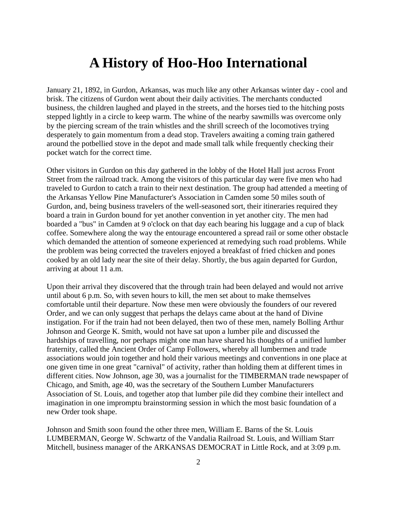## **A History of Hoo-Hoo International**

January 21, 1892, in Gurdon, Arkansas, was much like any other Arkansas winter day - cool and brisk. The citizens of Gurdon went about their daily activities. The merchants conducted business, the children laughed and played in the streets, and the horses tied to the hitching posts stepped lightly in a circle to keep warm. The whine of the nearby sawmills was overcome only by the piercing scream of the train whistles and the shrill screech of the locomotives trying desperately to gain momentum from a dead stop. Travelers awaiting a coming train gathered around the potbellied stove in the depot and made small talk while frequently checking their pocket watch for the correct time.

Other visitors in Gurdon on this day gathered in the lobby of the Hotel Hall just across Front Street from the railroad track. Among the visitors of this particular day were five men who had traveled to Gurdon to catch a train to their next destination. The group had attended a meeting of the Arkansas Yellow Pine Manufacturer's Association in Camden some 50 miles south of Gurdon, and, being business travelers of the well-seasoned sort, their itineraries required they board a train in Gurdon bound for yet another convention in yet another city. The men had boarded a "bus" in Camden at 9 o'clock on that day each bearing his luggage and a cup of black coffee. Somewhere along the way the entourage encountered a spread rail or some other obstacle which demanded the attention of someone experienced at remedying such road problems. While the problem was being corrected the travelers enjoyed a breakfast of fried chicken and pones cooked by an old lady near the site of their delay. Shortly, the bus again departed for Gurdon, arriving at about 11 a.m.

Upon their arrival they discovered that the through train had been delayed and would not arrive until about 6 p.m. So, with seven hours to kill, the men set about to make themselves comfortable until their departure. Now these men were obviously the founders of our revered Order, and we can only suggest that perhaps the delays came about at the hand of Divine instigation. For if the train had not been delayed, then two of these men, namely Bolling Arthur Johnson and George K. Smith, would not have sat upon a lumber pile and discussed the hardships of travelling, nor perhaps might one man have shared his thoughts of a unified lumber fraternity, called the Ancient Order of Camp Followers, whereby all lumbermen and trade associations would join together and hold their various meetings and conventions in one place at one given time in one great "carnival" of activity, rather than holding them at different times in different cities. Now Johnson, age 30, was a journalist for the TIMBERMAN trade newspaper of Chicago, and Smith, age 40, was the secretary of the Southern Lumber Manufacturers Association of St. Louis, and together atop that lumber pile did they combine their intellect and imagination in one impromptu brainstorming session in which the most basic foundation of a new Order took shape.

Johnson and Smith soon found the other three men, William E. Barns of the St. Louis LUMBERMAN, George W. Schwartz of the Vandalia Railroad St. Louis, and William Starr Mitchell, business manager of the ARKANSAS DEMOCRAT in Little Rock, and at 3:09 p.m.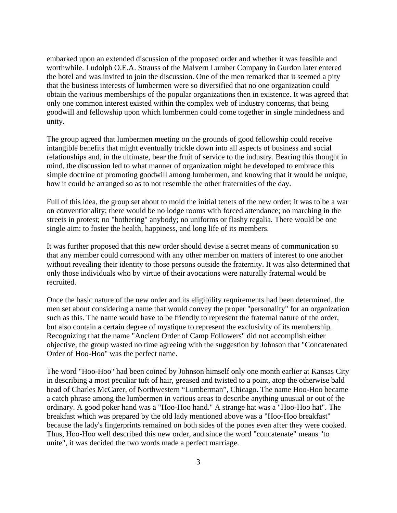embarked upon an extended discussion of the proposed order and whether it was feasible and worthwhile. Ludolph O.E.A. Strauss of the Malvern Lumber Company in Gurdon later entered the hotel and was invited to join the discussion. One of the men remarked that it seemed a pity that the business interests of lumbermen were so diversified that no one organization could obtain the various memberships of the popular organizations then in existence. It was agreed that only one common interest existed within the complex web of industry concerns, that being goodwill and fellowship upon which lumbermen could come together in single mindedness and unity.

The group agreed that lumbermen meeting on the grounds of good fellowship could receive intangible benefits that might eventually trickle down into all aspects of business and social relationships and, in the ultimate, bear the fruit of service to the industry. Bearing this thought in mind, the discussion led to what manner of organization might be developed to embrace this simple doctrine of promoting goodwill among lumbermen, and knowing that it would be unique, how it could be arranged so as to not resemble the other fraternities of the day.

Full of this idea, the group set about to mold the initial tenets of the new order; it was to be a war on conventionality; there would be no lodge rooms with forced attendance; no marching in the streets in protest; no "bothering" anybody; no uniforms or flashy regalia. There would be one single aim: to foster the health, happiness, and long life of its members.

It was further proposed that this new order should devise a secret means of communication so that any member could correspond with any other member on matters of interest to one another without revealing their identity to those persons outside the fraternity. It was also determined that only those individuals who by virtue of their avocations were naturally fraternal would be recruited.

Once the basic nature of the new order and its eligibility requirements had been determined, the men set about considering a name that would convey the proper "personality" for an organization such as this. The name would have to be friendly to represent the fraternal nature of the order, but also contain a certain degree of mystique to represent the exclusivity of its membership. Recognizing that the name "Ancient Order of Camp Followers" did not accomplish either objective, the group wasted no time agreeing with the suggestion by Johnson that "Concatenated Order of Hoo-Hoo" was the perfect name.

The word "Hoo-Hoo" had been coined by Johnson himself only one month earlier at Kansas City in describing a most peculiar tuft of hair, greased and twisted to a point, atop the otherwise bald head of Charles McCarer, of Northwestern "Lumberman", Chicago. The name Hoo-Hoo became a catch phrase among the lumbermen in various areas to describe anything unusual or out of the ordinary. A good poker hand was a "Hoo-Hoo hand." A strange hat was a "Hoo-Hoo hat". The breakfast which was prepared by the old lady mentioned above was a "Hoo-Hoo breakfast" because the lady's fingerprints remained on both sides of the pones even after they were cooked. Thus, Hoo-Hoo well described this new order, and since the word "concatenate" means "to unite", it was decided the two words made a perfect marriage.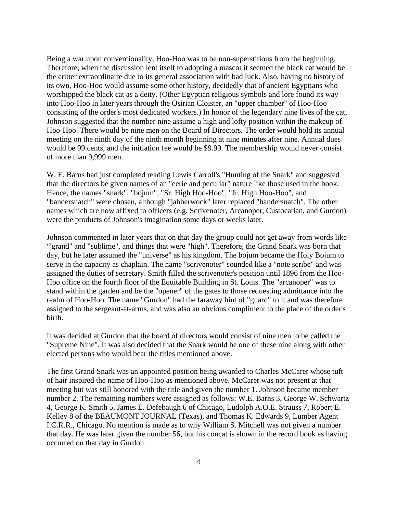Being a war upon conventionality, Hoo-Hoo was to be non-superstitious from the beginning. Therefore, when the discussion lent itself to adopting a mascot it seemed the black cat would be the critter extraordinaire due to its general association with bad luck. Also, having no history of its own, Hoo-Hoo would assume some other history, decidedly that of ancient Egyptians who worshipped the black cat as a deity. (Other Egyptian religious symbols and lore found its way into Hoo-Hoo in later years through the Osirian Cloister, an "upper chamber" of Hoo-Hoo consisting of the order's most dedicated workers.) In honor of the legendary nine lives of the cat, Johnson suggested that the number nine assume a high and lofty position within the makeup of Hoo-Hoo. There would be nine men on the Board of Directors. The order would hold its annual meeting on the ninth day of the ninth month beginning at nine minutes after nine. Annual dues would be 99 cents, and the initiation fee would be \$9.99. The membership would never consist of more than 9,999 men.

W. E. Barns had just completed reading Lewis Carroll's "Hunting of the Snark" and suggested that the directors be given names of an "eerie and peculiar" nature like those used in the book. Hence, the names "snark", "bojum", "Sr. High Hoo-Hoo", "Jr. High Hoo-Hoo", and "bandersnatch" were chosen, although "jabberwock" later replaced "bandersnatch". The other names which are now affixed to officers (e.g. Scrivenoter, Arcanoper, Custocatian, and Gurdon) were the products of Johnson's imagination some days or weeks later.

Johnson commented in later years that on that day the group could not get away from words like "'grand" and "sublime", and things that were "high". Therefore, the Grand Snark was born that day, but he later assumed the "universe" as his kingdom. The bojum became the Holy Bojum to serve in the capacity as chaplain. The name "scrivenoter" sounded like a "note scribe" and was assigned the duties of secretary. Smith filled the scrivenoter's position until 1896 from the Hoo-Hoo office on the fourth floor of the Equitable Building in St. Louis. The "arcanoper" was to stand within the garden and be the "opener" of the gates to those requesting admittance into the realm of Hoo-Hoo. The name "Gurdon" had the faraway hint of "guard" to it and was therefore assigned to the sergeant-at-arms, and was also an obvious compliment to the place of the order's birth.

It was decided at Gurdon that the board of directors would consist of nine men to be called the "Supreme Nine". It was also decided that the Snark would be one of these nine along with other elected persons who would bear the titles mentioned above.

The first Grand Snark was an appointed position being awarded to Charles McCarer whose tuft of hair inspired the name of Hoo-Hoo as mentioned above. McCarer was not present at that meeting but was still honored with the title and given the number 1. Johnson became member number 2. The remaining numbers were assigned as follows: W.E. Barns 3, George W. Schwartz 4, George K. Smith 5, James E. Defebaugh 6 of Chicago, Ludolph A.O.E. Strauss 7, Robert E. Kelley 8 of the BEAUMONT JOURNAL (Texas), and Thomas K. Edwards 9, Lumber Agent I.C.R.R., Chicago. No mention is made as to why William S. Mitchell was not given a number that day. He was later given the number 56, but his concat is shown in the record book as having occurred on that day in Gurdon.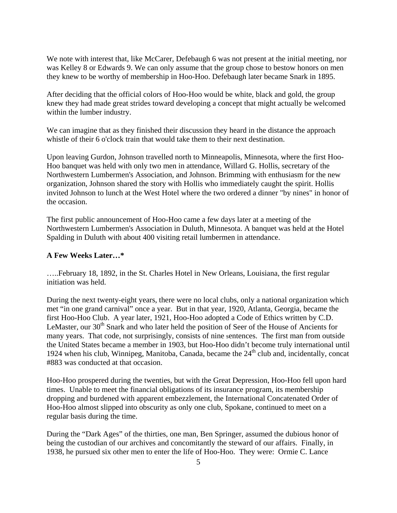We note with interest that, like McCarer, Defebaugh 6 was not present at the initial meeting, nor was Kelley 8 or Edwards 9. We can only assume that the group chose to bestow honors on men they knew to be worthy of membership in Hoo-Hoo. Defebaugh later became Snark in 1895.

After deciding that the official colors of Hoo-Hoo would be white, black and gold, the group knew they had made great strides toward developing a concept that might actually be welcomed within the lumber industry.

We can imagine that as they finished their discussion they heard in the distance the approach whistle of their 6 o'clock train that would take them to their next destination.

Upon leaving Gurdon, Johnson travelled north to Minneapolis, Minnesota, where the first Hoo-Hoo banquet was held with only two men in attendance, Willard G. Hollis, secretary of the Northwestern Lumbermen's Association, and Johnson. Brimming with enthusiasm for the new organization, Johnson shared the story with Hollis who immediately caught the spirit. Hollis invited Johnson to lunch at the West Hotel where the two ordered a dinner "by nines" in honor of the occasion.

The first public announcement of Hoo-Hoo came a few days later at a meeting of the Northwestern Lumbermen's Association in Duluth, Minnesota. A banquet was held at the Hotel Spalding in Duluth with about 400 visiting retail lumbermen in attendance.

## **A Few Weeks Later…\***

…..February 18, 1892, in the St. Charles Hotel in New Orleans, Louisiana, the first regular initiation was held.

During the next twenty-eight years, there were no local clubs, only a national organization which met "in one grand carnival" once a year. But in that year, 1920, Atlanta, Georgia, became the first Hoo-Hoo Club. A year later, 1921, Hoo-Hoo adopted a Code of Ethics written by C.D. LeMaster, our  $30<sup>th</sup>$  Snark and who later held the position of Seer of the House of Ancients for many years. That code, not surprisingly, consists of nine sentences. The first man from outside the United States became a member in 1903, but Hoo-Hoo didn't become truly international until 1924 when his club, Winnipeg, Manitoba, Canada, became the  $24<sup>th</sup>$  club and, incidentally, concat #883 was conducted at that occasion.

Hoo-Hoo prospered during the twenties, but with the Great Depression, Hoo-Hoo fell upon hard times. Unable to meet the financial obligations of its insurance program, its membership dropping and burdened with apparent embezzlement, the International Concatenated Order of Hoo-Hoo almost slipped into obscurity as only one club, Spokane, continued to meet on a regular basis during the time.

During the "Dark Ages" of the thirties, one man, Ben Springer, assumed the dubious honor of being the custodian of our archives and concomitantly the steward of our affairs. Finally, in 1938, he pursued six other men to enter the life of Hoo-Hoo. They were: Ormie C. Lance